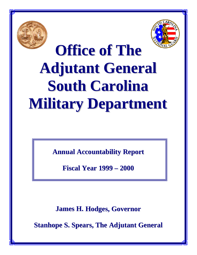



0

# **Office of The Adjutant General South Carolina Military Department**

**Annual Accountability Report**

**Fiscal Year 1999 – 2000**

**James H. Hodges, Governor**

**Stanhope S. Spears, The Adjutant General**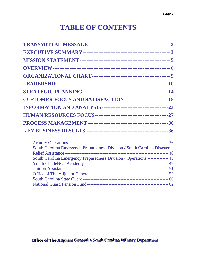## **TABLE OF CONTENTS**

| <b>CUSTOMER FOCUS AND SATISFACTION-----------------------------18</b>        |  |
|------------------------------------------------------------------------------|--|
|                                                                              |  |
|                                                                              |  |
|                                                                              |  |
|                                                                              |  |
|                                                                              |  |
| South Carolina Emergency Preparedness Division / South Carolina Disaster     |  |
|                                                                              |  |
| South Carolina Emergency Preparedness Division / Operations --------------43 |  |
|                                                                              |  |
|                                                                              |  |
|                                                                              |  |
|                                                                              |  |
|                                                                              |  |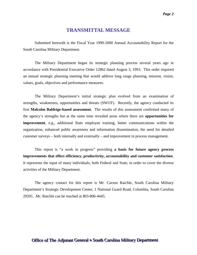#### **TRANSMITTAL MESSAGE**

<span id="page-2-0"></span>Submitted herewith is the Fiscal Year 1999-2000 Annual Accountability Report for the South Carolina Military Department.

The Military Department began its strategic planning process several years ago in accordance with Presidential Executive Order 12862 dated August 3, 1993. This order required an annual strategic planning meeting that would address long range planning, mission, vision, values, goals, objectives and performance measures.

The Military Department's initial strategic plan evolved from an examination of strengths, weaknesses, opportunities and threats (SWOT). Recently, the agency conducted its first **Malcolm Baldrige-based assessment.** The results of this assessment confirmed many of the agency's strengths but at the same time revealed areas where there are **opportunities for improvement**, e.g., additional State employee training, better communications within the organization, enhanced public awareness and information dissemination, the need for detailed customer surveys – both internally and externally – and improvement in process management.

This report is "a work in progress" providing **a basis for future agency process improvements that effect efficiency, productivity, accountability and customer satisfaction**. It represents the input of many individuals, both Federal and State, in order to cover the diverse activities of the Military Department.

The agency contact for this report is Mr. Carson Raichle, South Carolina Military Department's Strategic Development Center, 1 National Guard Road, Columbia, South Carolina 29201. Mr. Raichle can be reached at 803-806-4445.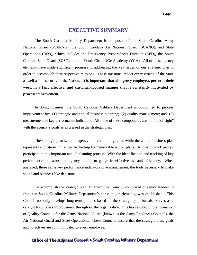#### **EXECUTIVE SUMMARY**

<span id="page-3-0"></span>The South Carolina Military Department is composed of the South Carolina Army National Guard (SCARNG), the South Carolina Air National Guard (SCANG), and State Operations (DSO), which includes the Emergency Preparedness Division (EPD), the South Carolina State Guard (SCSG) and the Youth ChalleNGe Academy (YCA). All of these agency elements have made significant progress in addressing the key issues of our strategic plan in order to accomplish their respective missions. These missions impact every citizen of the State as well as the security of the Nation. **It is important that all agency employees perform their work in a fair, effective, and customer-focused manner that is constantly motivated by process improvement**.

In doing business, the South Carolina Military Department is committed to process improvement by: (1) strategic and annual business planning; (2) quality management; and (3) measurement of key performance indicators. All three of these components are "in line of sight" with the agency's goals as expressed in the strategic plan.

The strategic plan sets the agency's direction long-term, while the annual business plan represents short-term initiatives backed-up by measurable action plans. All major work groups participate in this important annual planning process. With the identification and tracking of key performance indicators, the agency is able to gauge its effectiveness and efficiency. When analyzed, these same key performance indicators give management the tools necessary to make sound and business-like decisions.

To accomplish the strategic plan, an Executive Council, comprised of senior leadership from the South Carolina Military Department's three major elements, was established. This Council not only develops long-term policies based on the strategic plan but also serves as a catalyst for process improvement throughout the organization. This has resulted in the formation of Quality Councils for the Army National Guard (known as the Army Readiness Council), the Air National Guard and State Operations. These Councils ensure that the strategic plan, goals and objectives are communicated to every employee.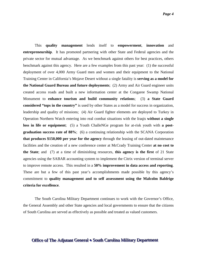This **quality management** lends itself to **empowerment**, **innovation** and **entrepreneurship**. It has promoted partnering with other State and Federal agencies and the private sector for mutual advantage. As we benchmark against others for best practices, others benchmark against this agency. Here are a few examples from this past year: (1) the successful deployment of over 4,000 Army Guard men and women and their equipment to the National Training Center in California's Mojave Desert without a single fatality is **serving as a model for the National Guard Bureau and future deployments**; (2) Army and Air Guard engineer units created access roads and built a new information center at the Congaree Swamp National Monument to **enhance tourism and build community relations**; (3) **a State Guard considered "tops in the country"** is used by other States as a model for success in organization, leadership and quality of missions; (4) Air Guard fighter elements are deployed to Turkey in Operation Northern Watch entering into real combat situations with the Iraqis **without a single loss in life or equipment**; (5) a Youth ChalleNGe program for at-risk youth with **a postgraduation success rate of 88%**; (6) a continuing relationship with the SCANA Corporation **that produces \$150,000 per year for the agency** through the leasing of out-dated maintenance facilities and the creation of a new conference center at McCrady Training Center **at no cost to the State**; and (7) at a time of diminishing resources, **this agency is the first** of 21 State agencies using the SABAR accounting system to implement the Citrix version of terminal server to improve remote access. This resulted in a **50% improvement in data access and reporting**. These are but a few of this past year's accomplishments made possible by this agency's commitment to **quality management and to self assessment using the Malcolm Baldrige criteria for excellence**.

The South Carolina Military Department continues to work with the Governor's Office, the General Assembly and other State agencies and local governments to ensure that the citizens of South Carolina are served as effectively as possible and treated as valued customers.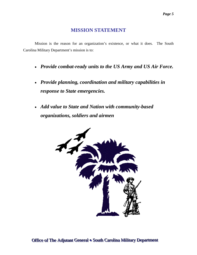## **MISSION STATEMENT**

<span id="page-5-0"></span>Mission is the reason for an organization's existence, or what it does. The South Carolina Military Department's mission is to:

- *Provide combat-ready units to the US Army and US Air Force.*
- *Provide planning, coordination and military capabilities in response to State emergencies.*
- *Add value to State and Nation with community-based organizations, soldiers and airmen*

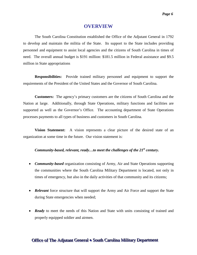#### **OVERVIEW**

<span id="page-6-0"></span>The South Carolina Constitution established the Office of the Adjutant General in 1792 to develop and maintain the militia of the State. Its support to the State includes providing personnel and equipment to assist local agencies and the citizens of South Carolina in times of need. The overall annual budget is \$191 million: \$181.5 million in Federal assistance and \$9.5 million in State appropriations

**Responsibilities:** Provide trained military personnel and equipment to support the requirements of the President of the United States and the Governor of South Carolina.

**Customers:** The agency's primary customers are the citizens of South Carolina and the Nation at large. Additionally, through State Operations, military functions and facilities are supported as well as the Governor's Office. The accounting department of State Operations processes payments to all types of business and customers in South Carolina.

**Vision Statement:** A vision represents a clear picture of the desired state of an organization at some time in the future. Our vision statement is:

#### *Community-based, relevant, ready...to meet the challenges of the 21<sup>st</sup> century.*

- *Community-based* organization consisting of Army, Air and State Operations supporting the communities where the South Carolina Military Department is located, not only in times of emergency, but also in the daily activities of that community and its citizens;
- **Relevant** force structure that will support the Army and Air Force and support the State during State emergencies when needed;
- *Ready* to meet the needs of this Nation and State with units consisting of trained and properly equipped soldier and airmen.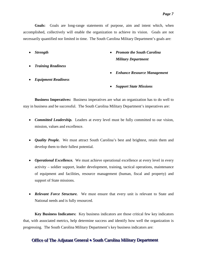**Goals:** Goals are long-range statements of purpose, aim and intent which, when accomplished, collectively will enable the organization to achieve its vision. Goals are not necessarily quantified nor limited in time. The South Carolina Military Department's goals are:

- *Strength*
- *Training Readiness*
- *Equipment Readiness*
- *Promote the South Carolina Military Department*
- *Enhance Resource Management*
- *Support State Missions*

**Business Imperatives:** Business imperatives are what an organization has to do well to stay in business and be successful. The South Carolina Military Department's imperatives are:

- *Committed Leadership.* Leaders at every level must be fully committed to our vision, mission, values and excellence.
- *Quality People.* We must attract South Carolina's best and brightest, retain them and develop them to their fullest potential.
- *Operational Excellence*. We must achieve operational excellence at every level in every activity – soldier support, leader development, training, tactical operations, maintenance of equipment and facilities, resource management (human, fiscal and property) and support of State missions.
- *Relevant Force Structure.* We must ensure that every unit is relevant to State and National needs and is fully resourced.

**Key Business Indicators:** Key business indicators are those critical few key indicators that, with associated metrics, help determine success and identify how well the organization is progressing. The South Carolina Military Department's key business indicators are: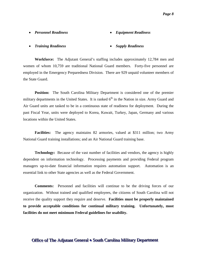#### • *Personnel Readiness*

#### • *Equipment Readiness*

• *Training Readiness*

#### • *Supply Readiness*

**Workforce:** The Adjutant General's staffing includes approximately 12,784 men and women of whom 10,759 are traditional National Guard members. Forty-five personnel are employed in the Emergency Preparedness Division. There are 929 unpaid volunteer members of the State Guard.

**Position:** The South Carolina Military Department is considered one of the premier military departments in the United States. It is ranked  $6<sup>th</sup>$  in the Nation in size. Army Guard and Air Guard units are tasked to be in a continuous state of readiness for deployment. During the past Fiscal Year, units were deployed to Korea, Kuwait, Turkey, Japan, Germany and various locations within the United States.

**Facilities:** The agency maintains 82 armories, valued at \$311 million; two Army National Guard training installations; and an Air National Guard training base.

**Technology:** Because of the vast number of facilities and vendors, the agency is highly dependent on information technology. Processing payments and providing Federal program managers up-to-date financial information requires automation support. Automation is an essential link to other State agencies as well as the Federal Government.

**Comments:** Personnel and facilities will continue to be the driving forces of our organization. Without trained and qualified employees, the citizens of South Carolina will not receive the quality support they require and deserve. **Facilities must be properly maintained to provide acceptable conditions for continual military training. Unfortunately, most facilities do not meet minimum Federal guidelines for usability.**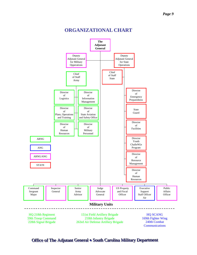<span id="page-9-0"></span>

#### **ORGANIZATIONAL CHART**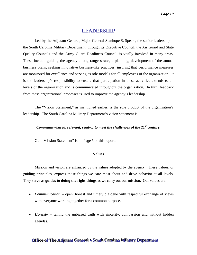#### **LEADERSHIP**

<span id="page-10-0"></span>Led by the Adjutant General, Major General Stanhope S. Spears, the senior leadership in the South Carolina Military Department, through its Executive Council, the Air Guard and State Quality Councils and the Army Guard Readiness Council, is vitally involved in many areas. These include guiding the agency's long range strategic planning, development of the annual business plans, seeking innovative business-like practices, insuring that performance measures are monitored for excellence and serving as role models for all employees of the organization. It is the leadership's responsibility to ensure that participation in these activities extends to all levels of the organization and is communicated throughout the organization. In turn, feedback from these organizational processes is used to improve the agency's leadership.

The "Vision Statement," as mentioned earlier, is the sole product of the organization's leadership. The South Carolina Military Department's vision statement is:

#### *Community-based, relevant, ready...to meet the challenges of the 21<sup>st</sup> century.*

Our "Mission Statement" is on Page 5 of this report.

#### **Values**

Mission and vision are enhanced by the values adopted by the agency. These values, or guiding principles, express those things we care most about and drive behavior at all levels. They serve as **guides to doing the right things** as we carry out our mission. Our values are:

- *Communication* open, honest and timely dialogue with respectful exchange of views with everyone working together for a common purpose.
- *Honesty* telling the unbiased truth with sincerity, compassion and without hidden agendas.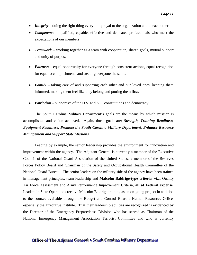- *Integrity* doing the right thing every time; loyal to the organization and to each other.
- *Competence* qualified, capable, effective and dedicated professionals who meet the expectations of our members.
- *Teamwork* working together as a team with cooperation, shared goals, mutual support and unity of purpose.
- *Fairness* equal opportunity for everyone through consistent actions, equal recognition for equal accomplishments and treating everyone the same.
- *Family* taking care of and supporting each other and our loved ones, keeping them informed, making them feel like they belong and putting them first.
- *Patriotism* supportive of the U.S. and S.C. constitutions and democracy.

The South Carolina Military Department's goals are the means by which mission is accomplished and vision achieved. Again, those goals are: *Strength, Training Readiness, Equipment Readiness, Promote the South Carolina Military Department, Enhance Resource Management and Support State Missions.*

Leading by example, the senior leadership provides the environment for innovation and improvement within the agency. The Adjutant General is currently a member of the Executive Council of the National Guard Association of the United States, a member of the Reserves Forces Policy Board and Chairman of the Safety and Occupational Health Committee of the National Guard Bureau. The senior leaders on the military side of the agency have been trained in management principles, team leadership and **Malcolm Baldrige-type criteria**, viz., Quality Air Force Assessment and Army Performance Improvement Criteria, **all at Federal expense**. Leaders in State Operations receive Malcolm Baldrige training as an on-going project in addition to the courses available through the Budget and Control Board's Human Resources Office, especially the Executive Institute. That their leadership abilities are recognized is evidenced by the Director of the Emergency Preparedness Division who has served as Chairman of the National Emergency Management Association Terrorist Committee and who is currently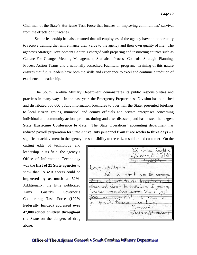Chairman of the State's Hurricane Task Force that focuses on improving communities' survival from the effects of hurricanes.

Senior leadership has also ensured that all employees of the agency have an opportunity to receive training that will enhance their value to the agency and their own quality of life. The agency's Strategic Development Center is charged with preparing and instructing courses such as Culture For Change, Meeting Management, Statistical Process Controls, Strategic Planning, Process Action Teams and a nationally accredited Facilitator program. Training of this nature ensures that future leaders have both the skills and experience to excel and continue a tradition of excellence in leadership.

The South Carolina Military Department demonstrates its public responsibilities and practices in many ways. In the past year, the Emergency Preparedness Division has published and distributed 500,000 public information brochures to over half the State; presented briefings to local citizen groups, municipal and county officials and private enterprises concerning individual and community actions prior to, during and after disasters; and has hosted the **largest State Hurricane Conference to date**. The State Operations' accounting department has reduced payroll preparation for State Active Duty personnel **from three weeks to three days** – a significant achievement in the agency's responsibility to the citizen soldier and customer. On the

cutting edge of technology and leadership in its field, the agency's Office of Information Technology was the **first of 21 State agencies** to show that SABAR access could be **improved by as much as 50%**. Additionally, the little publicized Army Guard's Governor's Counterdrug Task Force **(100% Federally funded)** addressed **over 47,000 school children throughout the State** on the dangers of drug abuse.

thank vaa comem. rarned not  $\circ$  do druns,  $\circ$  $+$   $\kappa$  then sthers and teacher and a cheer leader, And r ame: lasmine Luashington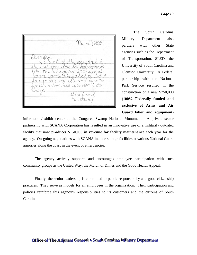March 7,2000

The South Carolina Military Department also partners with other State agencies such as the Department of Transportation, SLED, the University of South Carolina and Clemson University. A Federal partnership with the National Park Service resulted in the construction of a new \$750,000 **(100% Federally funded and exclusive of Army and Air Guard labor and equipment)** 

information/exhibit center at the Congaree Swamp National Monument. A private sector partnership with SCANA Corporation has resulted in an innovative use of a militarily outdated facility that now **produces \$150,000 in revenue for facility maintenance** each year for the agency. On-going negotiations with SCANA include storage facilities at various National Guard armories along the coast in the event of emergencies.

The agency actively supports and encourages employee participation with such community groups as the United Way, the March of Dimes and the Good Health Appeal.

Finally, the senior leadership is committed to public responsibility and good citizenship practices. They serve as models for all employees in the organization. Their participation and policies reinforce this agency's responsibilities to its customers and the citizens of South Carolina.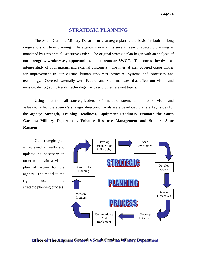#### **STRATEGIC PLANNING**

<span id="page-14-0"></span>The South Carolina Military Department's strategic plan is the basis for both its long range and short term planning. The agency is now in its seventh year of strategic planning as mandated by Presidential Executive Order. The original strategic plan began with an analysis of our **strengths, weaknesses, opportunities and threats or SWOT**. The process involved an intense study of both internal and external customers. The internal scan covered opportunities for improvement in our culture, human resources, structure, systems and processes and technology. Covered externally were Federal and State mandates that affect our vision and mission, demographic trends, technology trends and other relevant topics.

Using input from all sources, leadership formulated statements of mission, vision and values to reflect the agency's strategic direction. Goals were developed that are key issues for the agency: **Strength, Training Readiness, Equipment Readiness, Promote the South Carolina Military Department, Enhance Resource Management and Support State Missions**.

Our strategic plan is reviewed annually and updated as necessary in order to remain a viable plan of action for the agency. The model to the right is used in the strategic planning process.

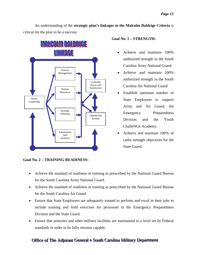An understanding of the **strategic plan's linkages to the Malcolm Baldrige Criteria** is critical for the plan to be a success:



#### **Goal No. 2 – TRAINING READINESS:**

#### **Goal No. 1 – STRENGTH:**

- Achieve and maintain 100% authorized strength in the South Carolina Army National Guard.
- Achieve and maintain 100% authorized strength in the South Carolina Air National Guard.
- Establish optimum number of State Employees to support Army and Air Guard, the Emergency Preparedness Division and the Youth ChalleNGe Academy.
- Achieve and maintain 100% of cadre strength objectives for the State Guard.
- Achieve the standard of readiness in training as prescribed by the National Guard Bureau for the South Carolina Army National Guard.
- Achieve the standard of readiness in training as prescribed by the National Guard Bureau for the South Carolina Air Guard.
- Ensure that State Employees are adequately trained to perform and excel in their jobs to include training and field exercises for personnel in the Emergency Preparedness Division and the State Guard.
- Ensure that armories and other military facilities are maintained to a level set by Federal standards in order to be fully mission capable.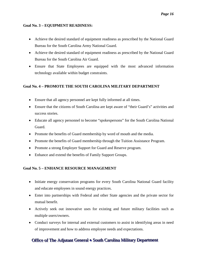#### **Goal No. 3 – EQUIPMENT READINESS:**

- Achieve the desired standard of equipment readiness as prescribed by the National Guard Bureau for the South Carolina Army National Guard.
- Achieve the desired standard of equipment readiness as prescribed by the National Guard Bureau for the South Carolina Air Guard.
- Ensure that State Employees are equipped with the most advanced information technology available within budget constraints.

#### **Goal No. 4 – PROMOTE THE SOUTH CAROLINA MILITARY DEPARTMENT**

- Ensure that all agency personnel are kept fully informed at all times.
- Ensure that the citizens of South Carolina are kept aware of "their Guard's" activities and success stories.
- Educate all agency personnel to become "spokespersons" for the South Carolina National Guard.
- Promote the benefits of Guard membership by word of mouth and the media.
- Promote the benefits of Guard membership through the Tuition Assistance Program.
- Promote a strong Employer Support for Guard and Reserve program.
- Enhance and extend the benefits of Family Support Groups.

#### **Goal No. 5 – ENHANCE RESOURCE MANAGEMENT**

- Initiate energy conservation programs for every South Carolina National Guard facility and educate employees in sound energy practices.
- Enter into partnerships with Federal and other State agencies and the private sector for mutual benefit.
- Actively seek out innovative uses for existing and future military facilities such as multiple users/owners.
- Conduct surveys for internal and external customers to assist in identifying areas in need of improvement and how to address employee needs and expectations.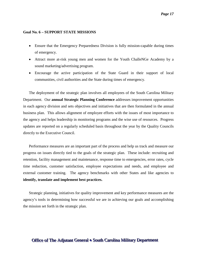#### **Goal No. 6 – SUPPORT STATE MISSIONS**

- Ensure that the Emergency Preparedness Division is fully mission-capable during times of emergency.
- Attract more at-risk young men and women for the Youth ChalleNGe Academy by a sound marketing/advertising program.
- Encourage the active participation of the State Guard in their support of local communities, civil authorities and the State during times of emergency.

The deployment of the strategic plan involves all employees of the South Carolina Military Department. Our **annual Strategic Planning Conference** addresses improvement opportunities in each agency division and sets objectives and initiatives that are then formulated in the annual business plan. This allows alignment of employee efforts with the issues of most importance to the agency and helps leadership in monitoring programs and the wise use of resources. Progress updates are reported on a regularly scheduled basis throughout the year by the Quality Councils directly to the Executive Council.

Performance measures are an important part of the process and help us track and measure our progress on issues directly tied to the goals of the strategic plan. These include: recruiting and retention, facility management and maintenance, response time to emergencies, error rates, cycle time reduction, customer satisfaction, employee expectations and needs, and employee and external customer training. The agency benchmarks with other States and like agencies to **identify, translate and implement best practices.**

Strategic planning, initiatives for quality improvement and key performance measures are the agency's tools in determining how successful we are in achieving our goals and accomplishing the mission set forth in the strategic plan.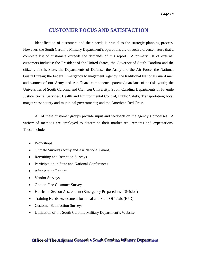#### **CUSTOMER FOCUS AND SATISFACTION**

<span id="page-18-0"></span>Identification of customers and their needs is crucial to the strategic planning process. However, the South Carolina Military Department's operations are of such a diverse nature that a complete list of customers exceeds the demands of this report. A primary list of external customers includes: the President of the United States; the Governor of South Carolina and the citizens of this State; the Departments of Defense, the Army and the Air Force; the National Guard Bureau; the Federal Emergency Management Agency; the traditional National Guard men and women of our Army and Air Guard components; parents/guardians of at-risk youth; the Universities of South Carolina and Clemson University; South Carolina Departments of Juvenile Justice, Social Services, Health and Environmental Control, Public Safety, Transportation; local magistrates; county and municipal governments; and the American Red Cross.

All of these customer groups provide input and feedback on the agency's processes. A variety of methods are employed to determine their market requirements and expectations. These include:

- Workshops
- Climate Surveys (Army and Air National Guard)
- Recruiting and Retention Surveys
- Participation in State and National Conferences
- After Action Reports
- Vendor Surveys
- One-on-One Customer Surveys
- Hurricane Season Assessment (Emergency Preparedness Division)
- Training Needs Assessment for Local and State Officials (EPD)
- Customer Satisfaction Surveys
- Utilization of the South Carolina Military Department's Website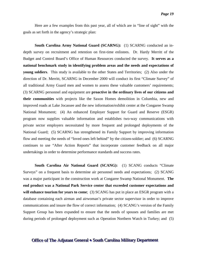Here are a few examples from this past year, all of which are in "line of sight" with the goals as set forth in the agency's strategic plan:

**South Carolina Army National Guard (SCARNG):** (1) SCARNG conducted an indepth survey on recruitment and retention on first-time enlistees. Dr. Hardy Merritt of the Budget and Control Board's Office of Human Resources conducted the survey. **It serves as a national benchmark study in identifying problem areas and the needs and expectations of young soldiers**. This study is available to the other States and Territories; (2) Also under the direction of Dr. Merritt, SCARNG in December 2000 will conduct its first "Climate Survey" of all traditional Army Guard men and women to assess these valuable customers' requirements; (3) SCARNG personnel and equipment are **proactive in the ordinary lives of our citizens and their communities** with projects like the Saxon Homes demolition in Columbia, new and improved roads at Lake Jocassee and the new information/exhibit center at the Congaree Swamp National Monument; (4) An enhanced Employer Support for Guard and Reserve (ESGR) program now supplies valuable information and establishes two-way communications with private sector employers necessitated by more frequent and prolonged deployments of the National Guard; (5) SCARNG has strengthened its Family Support by improving information flow and meeting the needs of "loved ones left behind" by the citizen-soldier; and (6) SCARNG continues to use "After Action Reports" that incorporate customer feedback on all major undertakings in order to determine performance standards and success rates.

**South Carolina Air National Guard (SCANG):** (1) SCANG conducts "Climate Surveys" on a frequent basis to determine air personnel needs and expectations; (2) SCANG was a major participant in the construction work at Congaree Swamp National Monument. **The end product was a National Park Service center that exceeded customer expectations and will enhance tourism for years to come**; (3) SCANG has put in place an ESGR program with a database containing each airman and airwoman's private sector supervisor in order to improve communications and insure the flow of correct information; (4) SCANG's version of the Family Support Group has been expanded to ensure that the needs of spouses and families are met during periods of prolonged deployment such as Operation Northern Watch in Turkey; and (5)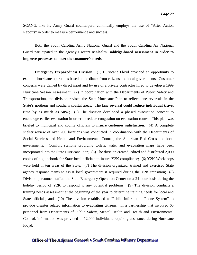SCANG, like its Army Guard counterpart, continually employs the use of "After Action Reports" in order to measure performance and success.

Both the South Carolina Army National Guard and the South Carolina Air National Guard participated in the agency's recent **Malcolm Baldrige-based assessment in order to improve processes to meet the customer's needs**.

**Emergency Preparedness Division:** (1) Hurricane Floyd provided an opportunity to examine hurricane operations based on feedback from citizens and local governments. Customer concerns were gained by direct input and by use of a private contractor hired to develop a 1999 Hurricane Season Assessment; (2) In coordination with the Departments of Public Safety and Transportation, the division revised the State Hurricane Plan to reflect lane reversals in the State's northern and southern coastal areas. The lane reversal could **reduce individual travel time by as much as 50%;** (3) The division developed a phased evacuation concept to encourage earlier evacuation in order to reduce congestion on evacuation routes. This plan was briefed to municipal and county officials to **insure customer satisfaction;** (4) A complete shelter review of over 200 locations was conducted in coordination with the Departments of Social Services and Health and Environmental Control, the American Red Cross and local governments. Comfort stations providing toilets, water and evacuation maps have been incorporated into the State Hurricane Plan; (5) The division created, edited and distributed 2,000 copies of a guidebook for State local officials to insure Y2K compliance; (6) Y2K Workshops were held in ten areas of the State; (7) The division organized, trained and exercised State agency response teams to assist local government if required during the Y2K transition; (8) Division personnel staffed the State Emergency Operation Center on a 24-hour basis during the holiday period of Y2K to respond to any potential problems; (9) The division conducts a training needs assessment at the beginning of the year to determine training needs for local and State officials; and (10) The division established a "Public Information Phone System" to provide disaster related information to evacuating citizens. In a partnership that involved 65 personnel from Departments of Public Safety, Mental Health and Health and Environmental Control, information was provided to 12,000 individuals requiring assistance during Hurricane Floyd.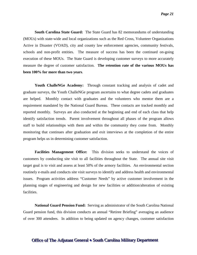**South Carolina State Guard:** The State Guard has 82 memorandums of understanding (MOUs) with state-wide and local organizations such as the Red Cross, Volunteer Organizations Active in Disaster (VOAD), city and county law enforcement agencies, community festivals, schools and non-profit entities. The measure of success has been the continued on-going execution of these MOUs. The State Guard is developing customer surveys to more accurately measure the degree of customer satisfaction. **The retention rate of the various MOUs has been 100% for more than two years**.

**Youth ChalleNGe Academy:** Through constant tracking and analysis of cadet and graduate surveys, the Youth ChalleNGe program ascertains to what degree cadets and graduates are helped. Monthly contact with graduates and the volunteers who mentor them are a requirement mandated by the National Guard Bureau. These contacts are tracked monthly and reported monthly. Surveys are also conducted at the beginning and end of each class that help identify satisfaction trends. Parent involvement throughout all phases of the program allows staff to build relationships with them and within the community they come from. Monthly monitoring that continues after graduation and exit interviews at the completion of the entire program helps us in determining customer satisfaction.

**Facilities Management Office:** This division seeks to understand the voices of customers by conducting site visit to all facilities throughout the State. The annual site visit target goal is to visit and assess at least 50% of the armory facilities. An environmental section routinely e-mails and conducts site visit surveys to identify and address health and environmental issues. Program activities address "Customer Needs" by active customer involvement in the planning stages of engineering and design for new facilities or addition/alteration of existing facilities.

**National Guard Pension Fund:** Serving as administrator of the South Carolina National Guard pension fund, this division conducts an annual "Retiree Briefing" averaging an audience of over 300 attendees. In addition to being updated on agency changes, customer satisfaction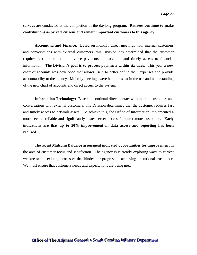surveys are conducted at the completion of the daylong program. **Retirees continue to make contributions as private citizens and remain important customers to this agency**.

**Accounting and Finance:** Based on monthly direct meetings with internal customers and conversations with external customers, this Division has determined that the customer requires fast turnaround on invoice payments and accurate and timely access to financial information. **The Division's goal is to process payments within six days**. This year a new chart of accounts was developed that allows users to better define their expenses and provide accountability to the agency. Monthly meetings were held to assist in the use and understanding of the new chart of accounts and direct access to the system.

**Information Technology:** Based on continual direct contact with internal customers and conversations with external customers, this Division determined that the customer requires fast and timely access to network assets. To achieve this, the Office of Information implemented a more secure, reliable and significantly faster server access for our remote customers. **Early indications are that up to 50% improvement in data access and reporting has been realized.**

The recent **Malcolm Baldrige assessment indicated opportunities for improvement** in the area of customer focus and satisfaction. The agency is currently exploring ways to correct weaknesses in existing processes that hinder our progress in achieving operational excellence. We must ensure that customers needs and expectations are being met.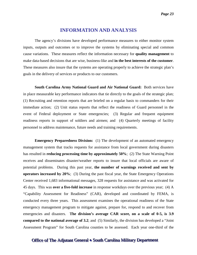#### **INFORMATION AND ANALYSIS**

<span id="page-23-0"></span>The agency's divisions have developed performance measures to either monitor system inputs, outputs and outcomes or to improve the systems by eliminating special and common cause variations. These measures reflect the information necessary for **quality management** to make data-based decisions that are wise, business-like and **in the best interests of the customer**. These measures also insure that the systems are operating properly to achieve the strategic plan's goals in the delivery of services or products to our customers.

**South Carolina Army National Guard and Air National Guard:** Both services have in place measurable key performance indicators that tie directly to the goals of the strategic plan; (1) Recruiting and retention reports that are briefed on a regular basis to commanders for their immediate action; (2) Unit status reports that reflect the readiness of Guard personnel in the event of Federal deployment or State emergencies; (3) Regular and frequent equipment readiness reports in support of soldiers and airmen; and (4) Quarterly meetings of facility personnel to address maintenance, future needs and training requirements.

**Emergency Preparedness Division:** (1) The development of an automated emergency management system that tracks requests for assistance from local government during disasters has resulted in **reducing processing time by approximately 50%**; (2) The State Warning Point receives and disseminates disaster/weather reports to insure that local officials are aware of potential problems. During this past year, **the number of warnings received and sent by operators increased by 20%**; (3) During the past fiscal year, the State Emergency Operations Center received 1,683 informational messages, 328 requests for assistance and was activated for 45 days. This was **over a five-fold increase** in response workdays over the previous year; (4) A "Capability Assessment for Readiness" (CAR), developed and coordinated by FEMA, is conducted every three years. This assessment examines the operational readiness of the State emergency management program to mitigate against, prepare for, respond to and recover from emergencies and disasters. **The division's average CAR score, on a scale of 0-5, is 3.9 compared to the national average of 3.2**; and (5) Similarly, the division has developed a "Joint Assessment Program" for South Carolina counties to be assessed. Each year one-third of the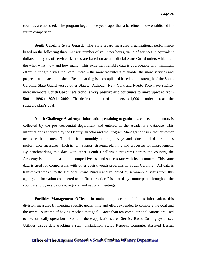counties are assessed. The program began three years ago, thus a baseline is now established for future comparison.

**South Carolina State Guard:** The State Guard measures organizational performance based on the following three metrics: number of volunteer hours, value of services in equivalent dollars and types of service. Metrics are based on actual official State Guard orders which tell the who, what, how and how many. This extremely reliable data is upgradeable with minimum effort. Strength drives the State Guard – the more volunteers available, the more services and projects can be accomplished. Benchmarking is accomplished based on the strength of the South Carolina State Guard versus other States. Although New York and Puerto Rico have slightly more members, **South Carolina's trend is very positive and continues to move upward from 500 in 1996 to 929 in 2000**. The desired number of members is 1,000 in order to reach the strategic plan's goal.

**Youth Challenge Academy:** Information pertaining to graduates, cadets and mentors is collected by the post-residential department and entered in the Academy's database. This information is analyzed by the Deputy Director and the Program Manager to insure that customer needs are being met. The data from monthly reports, surveys and educational data supplies performance measures which in turn support strategic planning and processes for improvement. By benchmarking this data with other Youth ChalleNGe programs across the country, the Academy is able to measure its competitiveness and success rate with its customers. This same data is used for comparisons with other at-risk youth programs in South Carolina. All data is transferred weekly to the National Guard Bureau and validated by semi-annual visits from this agency. Information considered to be "best practices" is shared by counterparts throughout the country and by evaluators at regional and national meetings.

**Facilities Management Office:** In maintaining accurate facilities information, this division measures by meeting specific goals, time and effort expended to complete the goal and the overall outcome of having reached that goal. More than ten computer applications are used to measure daily operations. Some of these applications are: Service Based Costing systems, a Utilities Usage data tracking system, Installation Status Reports, Computer Assisted Design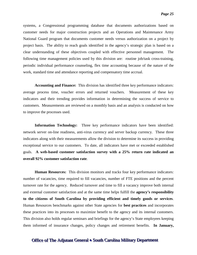systems, a Congressional programming database that documents authorizations based on customer needs for major construction projects and an Operations and Maintenance Army National Guard program that documents customer needs versus authorization on a project by project basis. The ability to reach goals identified in the agency's strategic plan is based on a clear understanding of these objectives coupled with effective personnel management. The following time management policies used by this division are: routine job/task cross-training, periodic individual performance counseling, flex time accounting because of the nature of the work, standard time and attendance reporting and compensatory time accrual.

**Accounting and Finance:** This division has identified three key performance indicators: average process time, voucher errors and returned vouchers. Measurement of these key indicators and their trending provides information in determining the success of service to customers. Measurements are reviewed on a monthly basis and an analysis is conducted on how to improve the processes used.

**Information Technology:** Three key performance indicators have been identified: network server on-line readiness, anti-virus currency and server backup currency. These three indicators along with their measurements allow the division to determine its success in providing exceptional service to our customers. To date, all indicators have met or exceeded established goals. **A web-based customer satisfaction survey with a 25% return rate indicated an overall 92% customer satisfaction rate**.

**Human Resources:** This division monitors and tracks four key performance indicators: number of vacancies, time required to fill vacancies, number of FTE positions and the percent turnover rate for the agency. Reduced turnover and time to fill a vacancy improve both internal and external customer satisfaction and at the same time helps fulfill the **agency's responsibility to the citizens of South Carolina by providing efficient and timely goods or services**. Human Resources benchmarks against other State agencies for **best practices** and incorporates these practices into its processes to maximize benefit to the agency and its internal customers. This division also holds regular seminars and briefings for the agency's State employees keeping them informed of insurance changes, policy changes and retirement benefits. **In January,**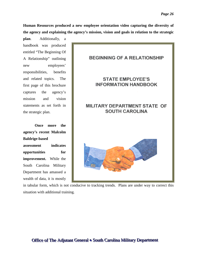**Human Resources produced a new employee orientation video capturing the diversity of the agency and explaining the agency's mission, vision and goals in relation to the strategic** 

**plan**. Additionally, a handbook was produced entitled "The Beginning Of A Relationship" outlining new employees' responsibilities, benefits and related topics. The first page of this brochure captures the agency's mission and vision statements as set forth in the strategic plan.

**Once more the agency's recent Malcolm Baldrige-based assessment indicates opportunities for improvement.** While the South Carolina Military Department has amassed a wealth of data, it is mostly



in tabular form, which is not conducive to tracking trends. Plans are under way to correct this situation with additional training.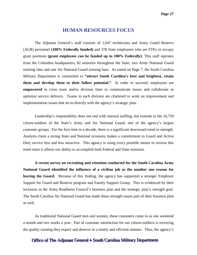#### **HUMAN RESOURCES FOCUS**

<span id="page-27-0"></span>The Adjutant General's staff consists of 1,647 technicians and Army Guard Reserve (AGR) personnel **(100% Federally funded)** and 378 State employees who are FTEs or occupy grant positions **(grant employees can be funded up to 100% Federally)**. This staff operates from the Columbia headquarters, 82 armories throughout the State, two Army National Guard training sites and one Air National Guard training base. As stated on Page 7, the South Carolina Military Department is committed to **"attract South Carolina's best and brightest, retain them and develop them to their fullest potential."** In order to succeed, employees are **empowered** to cross team and/or division lines to communicate issues and collaborate to optimize service delivery. Teams in each division are chartered to work on improvement and implementation issues that tie-in directly with the agency's strategic plan.

Leadership's responsibility does not end with internal staffing, but extends to the 10,759 citizen-soldiers of the State's Army and Air National Guard, one of the agency's largest customer groups. For the first time in a decade, there is a significant downward trend in strength. Analysts claim a strong State and National economy makes a commitment to Guard and Active Duty service less and less attractive. This agency is using every possible means to reverse this trend since it affects our ability to accomplish both Federal and State missions.

**A recent survey on recruiting and retention conducted for the South Carolina Army National Guard identified the influence of a civilian job as the number one reason for leaving the Guard**. Because of this finding, the agency has supported a stronger Employer Support for Guard and Reserve program and Family Support Group. This is evidenced by their inclusion in the Army Readiness Council's business plan and the strategic plan's strength goal. The South Carolina Air National Guard has made these strength issues part of their business plan as well.

As traditional National Guard men and women, these customers come to us one weekend a month and two weeks a year. Part of customer satisfaction for our citizen-soldiers is receiving the quality training they expect and deserve in a timely and efficient manner. Thus, the agency's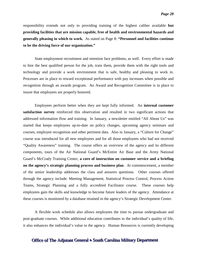responsibility extends not only to providing training of the highest caliber available **but providing facilities that are mission capable, free of health and environmental hazards and generally pleasing in which to work.** As stated on Page 8: **"Personnel and facilities continue to be the driving force of our organization."**

State employment recruitment and retention face problems, as well. Every effort is made to hire the best qualified person for the job, train them, provide them with the right tools and technology and provide a work environment that is safe, healthy and pleasing to work in. Processes are in place to reward exceptional performance with pay increases when possible and recognition through an awards program. An Award and Recognition Committee is in place to insure that employees are properly honored.

Employees perform better when they are kept fully informed. An **internal customer satisfaction survey** reinforced this observation and resulted in two significant actions that addressed information flow and training. In January, a newsletter entitled "All About Us" was started that keeps employees up-to-date on policy changes, upcoming agency seminars and courses, employee recognition and other pertinent data. Also in January, a "Culture for Change" course was introduced for all new employees and for all those employees who had not received "Quality Awareness" training. The course offers an overview of the agency and its different components, tours of the Air National Guard's McEntire Air Base and the Army National Guard's McCrady Training Center, **a core of instruction on customer service and a briefing on the agency's strategic planning process and business plan**. At commencement, a member of the senior leadership addresses the class and answers questions. Other courses offered through the agency include: Meeting Management, Statistical Process Control, Process Action Teams, Strategic Planning and a fully accredited Facilitator course. These courses help employees gain the skills and knowledge to become future leaders of the agency. Attendance at these courses is monitored by a database retained in the agency's Strategic Development Center.

A flexible work schedule also allows employees the time to pursue undergraduate and post-graduate courses. While additional education contributes to the individual's quality of life, it also enhances the individual's value to the agency. Human Resources is currently developing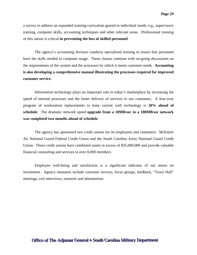a survey to address an expanded training curriculum geared to individual needs, e.g., supervisory training, computer skills, accounting techniques and other relevant areas. Professional training of this nature is critical **in preventing the loss of skilled personnel**.

The agency's accounting division conducts specialized training to insure that personnel have the skills needed in computer usage. These classes continue with on-going discussions on the requirements of the system and the processes by which it meets customer needs. **Accounting is also developing a comprehensive manual illustrating the processes required for improved customer service**.

Information technology plays an important role in today's marketplace by increasing the speed of internal processes and the faster delivery of services to our customers. A four-year program of workstation replacements to keep current with technology is **20% ahead of schedule**. The dramatic network speed **upgrade from a 10MB/sec to a 100MB/sec network was completed two months ahead of schedule**.

The agency has sponsored two credit unions for its employees and customers: McEntire Air National Guard Federal Credit Union and the South Carolina Army National Guard Credit Union. These credit unions have combined assets in excess of \$35,000,000 and provide valuable financial counseling and services to over 8,000 members.

Employee well-being and satisfaction is a significant indicator of our return on investment. Agency measures include customer surveys, focus groups, feedback, "Town Hall" meetings, exit interviews, turnover and absenteeism.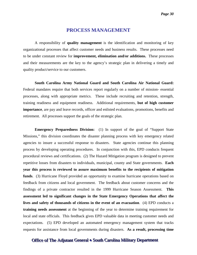#### **PROCESS MANAGEMENT**

<span id="page-30-0"></span>A responsibility of **quality management** is the identification and monitoring of key organizational processes that affect customer needs and business results. These processes need to be under constant review for **improvement, elimination and/or additions.** These processes and their measurements are the key to the agency's strategic plan in delivering a timely and quality product/service to our customers.

**South Carolina Army National Guard and South Carolina Air National Guard:**  Federal mandates require that both services report regularly on a number of mission- essential processes, along with appropriate metrics. These include recruiting and retention, strength, training readiness and equipment readiness. Additional requirements, **but of high customer importance**, are pay and leave records, officer and enlisted evaluations, promotions, benefits and retirement. All processes support the goals of the strategic plan.

**Emergency Preparedness Division:** (1) In support of the goal of "Support State Missions," this division coordinates the disaster planning process with key emergency related agencies to insure a successful response to disasters. State agencies continue this planning process by developing operating procedures. In conjunction with this, EPD conducts frequent procedural reviews and certifications. (2) The Hazard Mitigation program is designed to prevent repetitive losses from disasters to individuals, municipal, county and State governments. **Each year this process is reviewed to assure maximum benefits to the recipients of mitigation funds**. (3) Hurricane Floyd provided an opportunity to examine hurricane operations based on feedback from citizens and local government. The feedback about customer concerns and the findings of a private contractor resulted in the 1999 Hurricane Season Assessment. **This assessment led to significant changes in the State Emergency Operations that affect the lives and safety of thousands of citizens in the event of an evacuation**. (4) EPD conducts a **training needs assessment** at the beginning of the year to determine training requirement for local and state officials. This feedback gives EPD valuable data in meeting customer needs and expectations. (5) EPD developed an automated emergency management system that tracks requests for assistance from local governments during disasters. **As a result, processing time**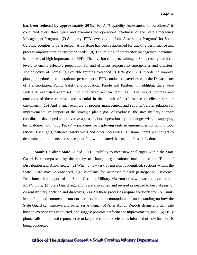**has been reduced by approximately 50%.** (6) A "Capability Assessment for Readiness" is conducted every three years and examines the operational readiness of the State Emergency Management Program, (7) Similarly, EPD developed a "Joint Assessment Program" for South Carolina counties to be assessed. A database has been established for tracking performance and process improvement on customer needs, (8) The training of emergency management personnel is a process of high importance to EPD. The division conducts training at State, county and local levels to enable effective preparation for and efficient response to emergencies and disasters. The objective of increasing available training exceeded its 10% goal, (9) In order to improve plans, procedures and operational performance, EPD conducted exercises with the Departments of Transportation, Public Safety and Probation, Parole and Pardon. In addition, there were Federally evaluated exercises involving fixed nuclear facilities. The inputs, outputs and outcomes of these exercises are essential in the pursuit of performance excellence for our customers. (10) And a final example of process management and supplier/partner relation for improvement: In support of the strategic plan's goal of readiness, the state military support coordinator developed an innovative approach, both operationally and budget-wise, in supplying his customer with "Log Packs" – packages for deploying units in emergencies containing food rations, flashlights, batteries, safety vests and other necessities. Customer input was sought to determine requirements and subsequent follow-up insured the customer's satisfaction.

**South Carolina State Guard:** (1) Flexibility to meet new challenges within the State Guard is encompassed by the ability to change organizational make-up or the Table of Distribution and Allowances, (2) When a new task or mission is identified, sections within the State Guard may be enhanced, e.g., chaplains for increased funeral participation, Historical Detachment for support of the South Carolina Military Museum or new detachments to recruit ROTC units, (3) State Guard regulations are also edited and revised as needed to keep abreast of current military doctrine and directives, (4) All these processes require feedback from our units in the field and comments from our partners in the memorandums of understanding on how the State Guard can improve and better serve them, (5) After Action Reports define and delineate how an exercise was conducted, and suggest possible performance improvements, and (6) Daily phone calls, e-mail and reports serve to keep the command elements informed of how business is being conducted.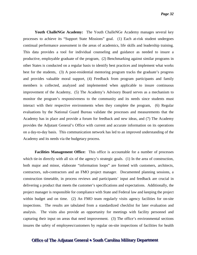**Youth ChalleNGe Academy:** The Youth ChalleNGe Academy manages several key processes to achieve its "Support State Missions" goal. (1) Each at-risk student undergoes continual performance assessment in the areas of academics, life skills and leadership training. This data provides a tool for individual counseling and guidance as needed to insure a productive, employable graduate of the program, (2) Benchmarking against similar programs in other States is conducted on a regular basis to identify best practices and implement what works best for the students, (3) A post-residential mentoring program tracks the graduate's progress and provides valuable moral support, (4) Feedback from program participants and family members is collected, analyzed and implemented when applicable to insure continuous improvement of the Academy, (5) The Academy's Advisory Board serves as a mechanism to monitor the program's responsiveness to the community and its needs since students must interact with their respective environments when they complete the program, (6) Regular evaluations by the National Guard Bureau validate the processes and measurements that the Academy has in place and provide a forum for feedback and new ideas, and (7) The Academy provides the Adjutant General's Office with current and accurate information on its operations on a day-to-day basis. This communication network has led to an improved understanding of the Academy and its needs via the budgetary process.

**Facilities Management Office:** This office is accountable for a number of processes which tie-in directly with all six of the agency's strategic goals. (1) In the area of construction, both major and minor, elaborate "information loops" are formed with customers, architects, contractors, sub-contractors and an FMO project manager. Documented planning sessions, a construction timetable, in process reviews and participants' input and feedback are crucial in delivering a product that meets the customer's specifications and expectations. Additionally, the project manager is responsible for compliance with State and Federal law and keeping the project within budget and on time. (2) An FMO team regularly visits agency facilities for on-site inspections. The results are tabulated from a standardized checklist for later evaluation and analysis. The visits also provide an opportunity for meetings with facility personnel and capturing their input on areas that need improvement. (3) The office's environmental sections insures the safety of employees/customers by regular on-site inspections of facilities for health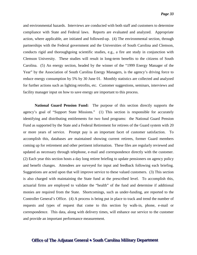and environmental hazards. Interviews are conducted with both staff and customers to determine compliance with State and Federal laws. Reports are evaluated and analyzed. Appropriate action, where applicable, are initiated and followed-up. (4) The environmental section, through partnerships with the Federal government and the Universities of South Carolina and Clemson, conducts rigid and thoroughgoing scientific studies, e.g., a fire ant study in conjunction with Clemson University. These studies will result in long-term benefits to the citizens of South Carolina. (5) An energy section, headed by the winner of the "1999 Energy Manager of the Year" by the Association of South Carolina Energy Managers, is the agency's driving force to reduce energy consumption by 5% by 30 June 01. Monthly statistics are collected and analyzed for further actions such as lighting retrofits, etc. Customer suggestions, seminars, interviews and facility manager input on how to save energy are important to this process.

**National Guard Pension Fund:** The purpose of this section directly supports the agency's goal of "Support State Missions." (1) This section is responsible for accurately identifying and distributing entitlements for two fund programs: the National Guard Pension Fund as supported by the State and a Federal Retirement for retirees of the Guard system with 20 or more years of service. Prompt pay is an important facet of customer satisfaction. To accomplish this, databases are maintained showing current retirees, former Guard members coming up for retirement and other pertinent information. These files are regularly reviewed and updated as necessary through telephone, e-mail and correspondence directly with the customer. (2) Each year this section hosts a day long retiree briefing to update pensioners on agency policy and benefit changes. Attendees are surveyed for input and feedback following each briefing. Suggestions are acted upon that will improve service to these valued customers. (3) This section is also charged with maintaining the State fund at the prescribed level. To accomplish this, actuarial firms are employed to validate the "health" of the fund and determine if additional monies are required from the State. Shortcomings, such as under-funding, are reported to the Controller General's Office. (4) A process is being put in place to track and trend the number of requests and types of request that come to this section by walk-in, phone, e-mail or correspondence. This data, along with delivery times, will enhance our service to the customer and provide an important performance measurement.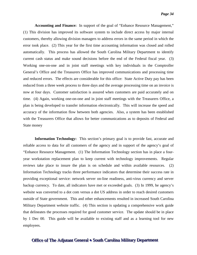**Accounting and Finance:** In support of the goal of "Enhance Resource Management," (1) This division has improved its software system to include direct access by major internal customers, thereby allowing division managers to address errors in the same period in which the error took place. (2) This year for the first time accounting information was closed and rolled automatically. This process has allowed the South Carolina Military Department to identify current cash status and make sound decisions before the end of the Federal fiscal year. (3) Working one-on-one and in joint staff meetings with key individuals in the Comptroller General's Office and the Treasurers Office has improved communications and processing time and reduced errors. The effects are considerable for this office: State Active Duty pay has been reduced from a three week process to three days and the average processing time on an invoice is now at four days. Customer satisfaction is assured when customers are paid accurately and on time. (4) Again, working one-on-one and in joint staff meetings with the Treasurers Office, a plan is being developed to transfer information electronically. This will increase the speed and accuracy of the information flow between both agencies. Also, a system has been established with the Treasurers Office that allows for better communications as to deposits of Federal and State money

**Information Technology:** This section's primary goal is to provide fast, accurate and reliable access to data for all customers of the agency and in support of the agency's goal of "Enhance Resource Management. (1) The Information Technology section has in place a fouryear workstation replacement plan to keep current with technology improvements. Regular reviews take place to insure the plan is on schedule and within available resources. (2) Information Technology tracks three performance indicators that determine their success rate in providing exceptional service: network server on-line readiness, anti-virus currency and server backup currency. To date, all indicators have met or exceeded goals. (3) In 1999, he agency's website was converted to a dot com versus a dot US address in order to reach desired customers outside of State government. This and other enhancements resulted in increased South Carolina Military Department website traffic. (4) This section is updating a comprehensive work guide that delineates the processes required for good customer service. The update should be in place by 1 Dec 00. This guide will be available to existing staff and as a learning tool for new employees.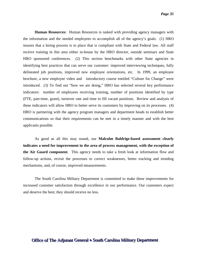**Human Resources:** Human Resources is tasked with providing agency managers with the information and the needed employees to accomplish all of the agency's goals. (1) HRO insures that a hiring process is in place that is compliant with State and Federal law. All staff receive training in this area either in-house by the HRO director, outside seminars and State HRO sponsored conferences. (2) This section benchmarks with other State agencies in identifying best practices that can serve our customer: improved interviewing techniques, fully delineated job positions, improved new employee orientations, etc. In 1999, an employee brochure, a new employee video and introductory course entitled "Culture for Change" were introduced. (3) To find out "how we are doing," HRO has selected several key performance indicators: number of employees receiving training, number of positions identified by type (FTE, part-time, grant), turnover rate and time to fill vacant positions. Review and analysis of these indicators will allow HRO to better serve its customers by improving on its processes. (4) HRO is partnering with the agency program managers and department heads to establish better communications so that their requirements can be met in a timely manner and with the best applicants possible.

As good as all this may sound, our **Malcolm Baldrige-based assessment clearly indicates a need for improvement in the area of process management, with the exception of the Air Guard component**. This agency needs to take a fresh look at information flow and follow-up actions, revisit the processes to correct weaknesses, better tracking and trending mechanisms, and, of course, improved measurements.

The South Carolina Military Department is committed to make these improvements for increased customer satisfaction through excellence in our performance. Our customers expect and deserve the best; they should receive no less.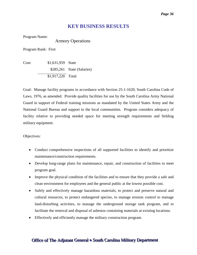#### **KEY BUSINESS RESULTS**

<span id="page-36-0"></span>Program Name:

<span id="page-36-1"></span>Armory Operations

Program Rank: First

Cost: \$1,631,959 State \$285,261 State (Salaries) \$1,917,220 Total

Goal: Manage facility programs in accordance with Section 25-1-1620, South Carolina Code of Laws, 1976, as amended. Provide quality facilities for use by the South Carolina Army National Guard in support of Federal training missions as mandated by the United States Army and the National Guard Bureau and support to the local communities. Program considers adequacy of facility relative to providing needed space for meeting strength requirements and fielding military equipment.

Objectives:

- Conduct comprehensive inspections of all supported facilities to identify and prioritize maintenance/construction requirements.
- Develop long-range plans for maintenance, repair, and construction of facilities to meet program goal.
- Improve the physical condition of the facilities and to ensure that they provide a safe and clean environment for employees and the general public at the lowest possible cost.
- Safely and effectively manage hazardous materials, to protect and preserve natural and cultural resources, to protect endangered species, to manage erosion control to manage land-disturbing activities, to manage the underground storage tank program, and to facilitate the removal and disposal of asbestos containing materials at existing locations.
- Effectively and efficiently manage the military construction program.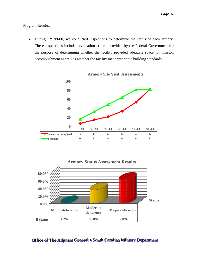#### Program Results:

• During FY 99-00, we conducted inspections to determine the status of each armory. These inspections included evaluation criteria provided by the Federal Government for the purpose of determining whether the facility provided adequate space for mission accomplishment as well as whether the facility met appropriate building standards.



**Armory Site Visit, Assessments**

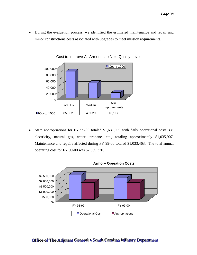• During the evaluation process, we identified the estimated maintenance and repair and minor constructions costs associated with upgrades to meet mission requirements.



Cost to Improve All Armories to Next Quality Level

State appropriations for FY 99-00 totaled \$1,631,959 with daily operational costs, i.e. electricity, natural gas, water, propane, etc., totaling approximately \$1,035,907. Maintenance and repairs affected during FY 99-00 totaled \$1,033,463. The total annual operating cost for FY 99-00 was \$2,069,370.

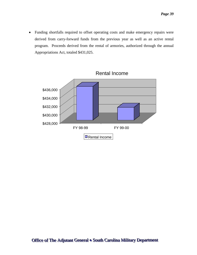• Funding shortfalls required to offset operating costs and make emergency repairs were derived from carry-forward funds from the previous year as well as an active rental program. Proceeds derived from the rental of armories, authorized through the annual Appropriations Act, totaled \$431,025.

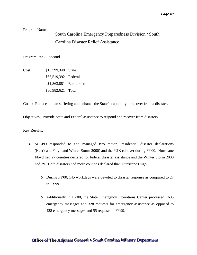#### Program Name:

## <span id="page-40-0"></span>South Carolina Emergency Preparedness Division / South Carolina Disaster Relief Assistance

Program Rank: Second

Cost: \$13,599,348 State \$65,519,392 Federal \$1,863,881 Earmarked \$80,982,621 Total

Goals: Reduce human suffering and enhance the State's capability to recover from a disaster.

Objectives: Provide State and Federal assistance to respond and recover from disasters.

Key Results:

- SCEPD responded to and managed two major Presidential disaster declarations (Hurricane Floyd and Winter Storm 2000) and the Y2K rollover during FY00. Hurricane Floyd had 27 counties declared for federal disaster assistance and the Winter Storm 2000 had 39. Both disasters had more counties declared than Hurricane Hugo.
	- o During FY00, 145 workdays were devoted to disaster response as compared to 27 in FY99.
	- o Additionally in FY00, the State Emergency Operations Center processed 1683 emergency messages and 328 requests for emergency assistance as opposed to 428 emergency messages and 55 requests in FY99.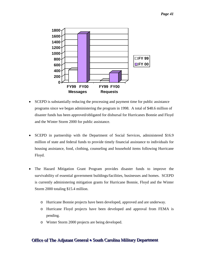

- SCEPD is substantially reducing the processing and payment time for public assistance programs since we began administering the program in 1998. A total of \$48.6 million of disaster funds has been approved/obligated for disbursal for Hurricanes Bonnie and Floyd and the Winter Storm 2000 for public assistance.
- SCEPD in partnership with the Department of Social Services, administered \$16.9 million of state and federal funds to provide timely financial assistance to individuals for housing assistance, food, clothing, counseling and household items following Hurricane Floyd.
- The Hazard Mitigation Grant Program provides disaster funds to improve the survivability of essential government buildings/facilities, businesses and homes. SCEPD is currently administering mitigation grants for Hurricane Bonnie, Floyd and the Winter Storm 2000 totaling \$15.4 million.
	- o Hurricane Bonnie projects have been developed, approved and are underway.
	- o Hurricane Floyd projects have been developed and approval from FEMA is pending.
	- o Winter Storm 2000 projects are being developed.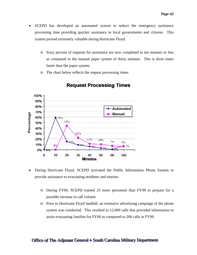- SCEPD has developed an automated system to reduce the emergency assistance processing time providing quicker assistance to local governments and citizens. This system proved extremely valuable during Hurricane Floyd.
	- o Sixty percent of requests for assistance are now completed in ten minutes or less as compared to the manual paper system of thirty minutes. This is three times faster than the paper system.
	- o The chart below reflects the request processing times.



#### **Request Processing Times**

- During Hurricane Floyd, SCEPD activated the Public Information Phone System to provide assistance to evacuating residents and tourists.
	- o During FY00, SCEPD trained 25 more personnel than FY99 to prepare for a possible increase in call volume.
	- o Prior to Hurricane Floyd landfall, an extensive advertising campaign of the phone system was conducted. This resulted in 12,000 calls that provided information to assist evacuating families for FY00 as compared to 200 calls in FY99.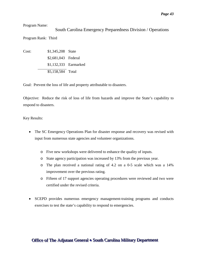<span id="page-43-0"></span>Program Name:

South Carolina Emergency Preparedness Division / Operations Program Rank: Third

Cost: \$1,345,208 State \$2,681,043 Federal \$1,132,333 Earmarked \$5,158,584 Total

Goal: Prevent the loss of life and property attributable to disasters.

Objective: Reduce the risk of loss of life from hazards and improve the State's capability to respond to disasters.

Key Results:

- The SC Emergency Operations Plan for disaster response and recovery was revised with input from numerous state agencies and volunteer organizations.
	- o Five new workshops were delivered to enhance the quality of inputs.
	- o State agency participation was increased by 13% from the previous year.
	- o The plan received a national rating of 4.2 on a 0-5 scale which was a 14% improvement over the previous rating.
	- o Fifteen of 17 support agencies operating procedures were reviewed and two were certified under the revised criteria.
- SCEPD provides numerous emergency management-training programs and conducts exercises to test the state's capability to respond to emergencies.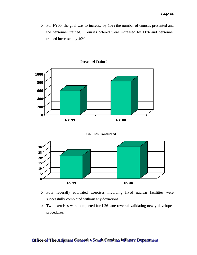o For FY00, the goal was to increase by 10% the number of courses presented and the personnel trained. Courses offered were increased by 11% and personnel trained increased by 40%.







**Courses Conducted**

- o Four federally evaluated exercises involving fixed nuclear facilities were successfully completed without any deviations.
- o Two exercises were completed for I-26 lane reversal validating newly developed procedures.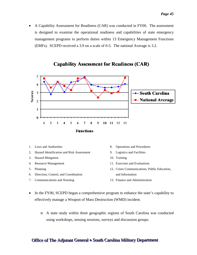• A Capability Assessment for Readiness (CAR) was conducted in FY00. The assessment is designed to examine the operational readiness and capabilities of state emergency management programs to perform duties within 13 Emergency Management Functions (EMFs). SCEPD received a 3.9 on a scale of 0-5. The national Average is 3.2.



#### **Capability Assessment for Readiness (CAR)**

- 1. Laws and Authorities
- 2. Hazard Identification and Risk Assessment
- 3. Hazard Mitigation
- 4. Resource Management
- 5. Planning
- 6. Direction, Control, and Coordination
- 7. Communications and Warning
- 8. Operations and Procedures
- 9. Logistics and Facilities
- 10. Training
- 11. Exercises and Evaluations
- 12. Crises Communications, Public Education, and Information
- 13. Finance and Administration
- In the FY00, SCEPD began a comprehensive program to enhance the state's capability to effectively manage a Weapon of Mass Destruction (WMD) incident.
	- o A state study within three geographic regions of South Carolina was conducted using workshops, sensing sessions, surveys and discussion groups.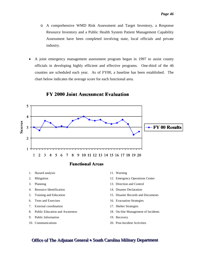- o A comprehensive WMD Risk Assessment and Target Inventory, a Response Resource Inventory and a Public Health System Patient Management Capability Assessment have been completed involving state, local officials and private industry.
- A joint emergency management assessment program began in 1997 to assist county officials in developing highly efficient and effective programs. One-third of the 46 counties are scheduled each year. As of FY00, a baseline has been established. The chart below indicates the average score for each functional area.



#### **FY 2000 Joint Assessment Evaluation**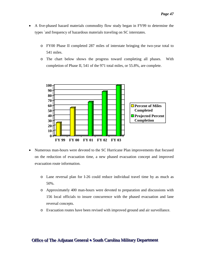- A five-phased hazard materials commodity flow study began in FY99 to determine the types `and frequency of hazardous materials traveling on SC interstates.
	- o FY00 Phase II completed 287 miles of interstate bringing the two-year total to 541 miles.
	- o The chart below shows the progress toward completing all phases. With completion of Phase II, 541 of the 971 total miles, or 55.8%, are complete.



- Numerous man-hours were devoted to the SC Hurricane Plan improvements that focused on the reduction of evacuation time, a new phased evacuation concept and improved evacuation route information.
	- o Lane reversal plan for I-26 could reduce individual travel time by as much as 50%.
	- o Approximately 400 man-hours were devoted to preparation and discussions with 156 local officials to insure concurrence with the phased evacuation and lane reversal concepts.
	- o Evacuation routes have been revised with improved ground and air surveillance.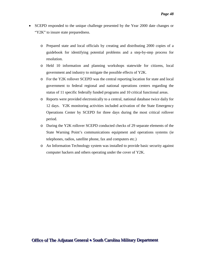- SCEPD responded to the unique challenge presented by the Year 2000 date changes or "Y2K" to insure state preparedness.
	- o Prepared state and local officials by creating and distributing 2000 copies of a guidebook for identifying potential problems and a step-by-step process for resolution.
	- o Held 10 information and planning workshops statewide for citizens, local government and industry to mitigate the possible effects of Y2K.
	- o For the Y2K rollover SCEPD was the central reporting location for state and local government to federal regional and national operations centers regarding the status of 11 specific federally funded programs and 10 critical functional areas.
	- o Reports were provided electronically to a central, national database twice daily for 12 days. Y2K monitoring activities included activation of the State Emergency Operations Center by SCEPD for three days during the most critical rollover period.
	- o During the Y2K rollover SCEPD conducted checks of 29 separate elements of the State Warning Point's communications equipment and operations systems (ie telephones, radios, satellite phone, fax and computers etc.)
	- o An Information Technology system was installed to provide basic security against computer hackers and others operating under the cover of Y2K.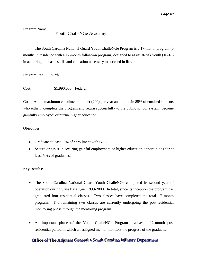Program Name:

#### <span id="page-49-0"></span>Youth ChalleNGe Academy

The South Carolina National Guard Youth ChalleNGe Program is a 17-month program (5 months in residence with a 12-month follow-on program) designed to assist at-risk youth (16-18) in acquiring the basic skills and education necessary to succeed in life.

Program Rank: Fourth

Cost: \$1,990,000 Federal

Goal: Attain maximum enrollment number (200) per year and maintain 85% of enrolled students who either: complete the program and return successfully to the public school system; become gainfully employed; or pursue higher education.

Objectives:

- Graduate at least 50% of enrollment with GED.
- Secure or assist in securing gainful employment or higher education opportunities for at least 50% of graduates.

Key Results:

- The South Carolina National Guard Youth ChalleNGe completed its second year of operation during State fiscal year 1999-2000. In total, since its inception the program has graduated four residential classes. Two classes have completed the total 17 month program. The remaining two classes are currently undergoing the post-residential monitoring phase through the mentoring program.
- An important phase of the Youth ChalleNGe Program involves a 12-month post residential period in which an assigned mentor monitors the progress of the graduate.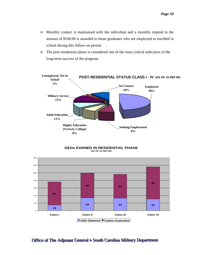- o Monthly contact is maintained with the individual and a monthly stipend in the amount of \$100.00 is awarded to those graduates who are employed or enrolled in school during this follow-on period.
- o The post residential phase is considered one of the most critical indicators of the long-term success of the program.



**GEDs EARNED IN RESIDENTIAL PHASE (AS OF 15 SEP 00)**

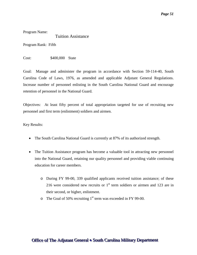Program Name:

<span id="page-51-0"></span>Tuition Assistance

Program Rank: Fifth

Cost: \$400,000 State

Goal: Manage and administer the program in accordance with Section 59-114-40, South Carolina Code of Laws, 1976, as amended and applicable Adjutant General Regulations. Increase number of personnel enlisting in the South Carolina National Guard and encourage retention of personnel in the National Guard.

Objectives: At least fifty percent of total appropriation targeted for use of recruiting new personnel and first term (enlistment) soldiers and airmen.

Key Results:

- The South Carolina National Guard is currently at 87% of its authorized strength.
- The Tuition Assistance program has become a valuable tool in attracting new personnel into the National Guard, retaining our quality personnel and providing viable continuing education for career members.
	- o During FY 99-00, 339 qualified applicants received tuition assistance; of these 216 were considered new recruits or  $1<sup>st</sup>$  term soldiers or airmen and 123 are in their second, or higher, enlistment.
	- $\circ$  The Goal of 50% recruiting 1<sup>st</sup> term was exceeded in FY 99-00.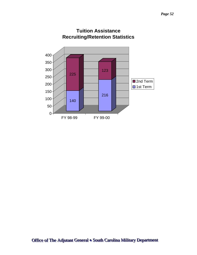

## **Tuition Assistance Recruiting/Retention Statistics**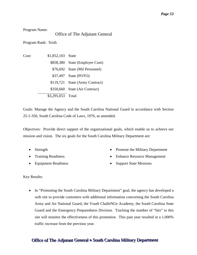Program Name:

#### <span id="page-53-0"></span>Office of The Adjutant General

Program Rank: Sixth

Cost: \$1,852,103 State \$858,380 State (Employer Cont) \$76,692 State (Mil Personnel) \$37,497 State (POTO) \$119,721 State (Army Contract) \$350,660 State (Air Contract) \$3,295,053 Total

Goals: Manage the Agency and the South Carolina National Guard in accordance with Section 25-1-350, South Carolina Code of Laws, 1976, as amended.

Objectives: Provide direct support of the organizational goals, which enable us to achieve our mission and vision. The six goals for the South Carolina Military Department are:

- Strength
- Training Readiness
- Equipment Readiness
- Promote the Military Department
- Enhance Resource Management
- Support State Missions

Key Results:

• In "Promoting the South Carolina Military Department" goal, the agency has developed a web site to provide customers with additional information concerning the South Carolina Army and Air National Guard, the Youth ChalleNGe Academy, the South Carolina State Guard and the Emergency Preparedness Division. Tracking the number of "hits" to this site will monitor the effectiveness of this promotion. This past year resulted in a 1,000% traffic increase from the previous year.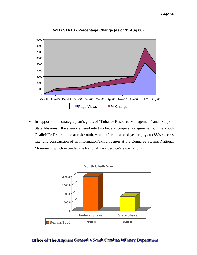

**WEB STATS - Percentage Change (as of 31 Aug 00)**

• In support of the strategic plan's goals of "Enhance Resource Management" and "Support State Missions," the agency entered into two Federal cooperative agreements: The Youth ChalleNGe Program for at-risk youth, which after its second year enjoys an 88% success rate; and construction of an information/exhibit center at the Congaree Swamp National Monument, which exceeded the National Park Service's expectations.

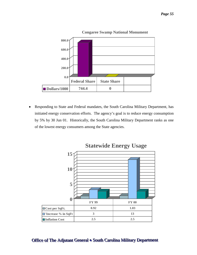

• Responding to State and Federal mandates, the South Carolina Military Department, has initiated energy conservation efforts. The agency's goal is to reduce energy consumption by 5% by 30 Jun 01. Historically, the South Carolina Military Department ranks as one of the lowest energy consumers among the State agencies.



## Office of The Adjutant General • South Carolina Military Department

#### **Congaree Swamp National Monument**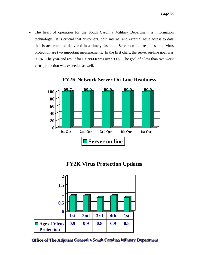• The heart of operation for the South Carolina Military Department is information technology. It is crucial that customers, both internal and external have access to data that is accurate and delivered in a timely fashion. Server on-line readiness and virus protection are two important measurements. In the first chart, the server on-line goal was 95 %. The year-end result for FY 99-00 was over 99%. The goal of a less than two week virus protection was exceeded as well.



**FY2K Network Server On-Line Readiness**



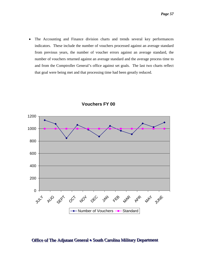• The Accounting and Finance division charts and trends several key performances indicators. These include the number of vouchers processed against an average standard from previous years, the number of voucher errors against an average standard, the number of vouchers returned against an average standard and the average process time to and from the Comptroller General's office against set goals. The last two charts reflect that goal were being met and that processing time had been greatly reduced.



**Vouchers FY 00**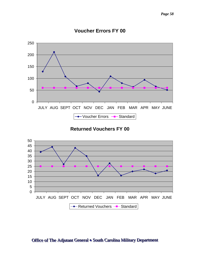

## **Voucher Errors FY 00**

**Returned Vouchers FY 00**

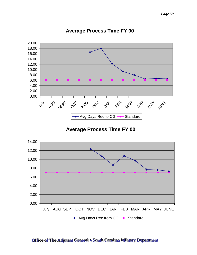

## **Average Process Time FY 00**

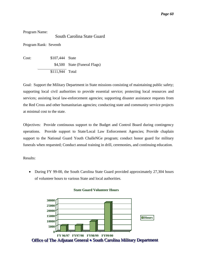Program Name:

<span id="page-60-0"></span>South Carolina State Guard

Program Rank: Seventh

Cost: \$107,444 State \$4,500 State (Funeral Flags) \$111,944 Total

Goal: Support the Military Department in State missions consisting of maintaining public safety; supporting local civil authorities to provide essential service; protecting local resources and services; assisting local law-enforcement agencies; supporting disaster assistance requests from the Red Cross and other humanitarian agencies; conducting state and community service projects at minimal cost to the state.

Objectives: Provide continuous support to the Budget and Control Board during contingency operations. Provide support to State/Local Law Enforcement Agencies; Provide chaplain support to the National Guard Youth ChalleNGe program; conduct honor guard for military funerals when requested; Conduct annual training in drill, ceremonies, and continuing education.

Results:

• During FY 99-00, the South Carolina State Guard provided approximately 27,304 hours of volunteer hours to various State and local authorities.



#### **State Guard Volunteer Hours**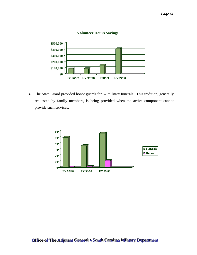

#### **Volunteer Hours Savings**

• The State Guard provided honor guards for 57 military funerals. This tradition, generally requested by family members, is being provided when the active component cannot provide such services.

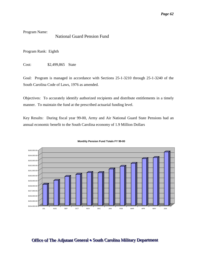Program Name:

#### <span id="page-62-0"></span>National Guard Pension Fund

Program Rank: Eighth

Cost: \$2,499,865 State

Goal: Program is managed in accordance with Sections 25-1-3210 through 25-1-3240 of the South Carolina Code of Laws, 1976 as amended.

Objectives: To accurately identify authorized recipients and distribute entitlements in a timely manner. To maintain the fund at the prescribed actuarial funding level.

Key Results: During fiscal year 99-00, Army and Air National Guard State Pensions had an annual economic benefit to the South Carolina economy of 1.9 Million Dollars



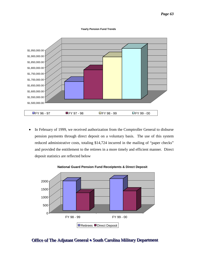#### **Yearly Pension Fund Trends**



In February of 1999, we received authorization from the Comptroller General to disburse pension payments through direct deposit on a voluntary basis. The use of this system reduced administrative costs, totaling \$14,724 incurred in the mailing of "paper checks" and provided the entitlement to the retirees in a more timely and efficient manner. Direct deposit statistics are reflected below



#### **National Guard Pension Fund Receiptents & Direct Deposit**